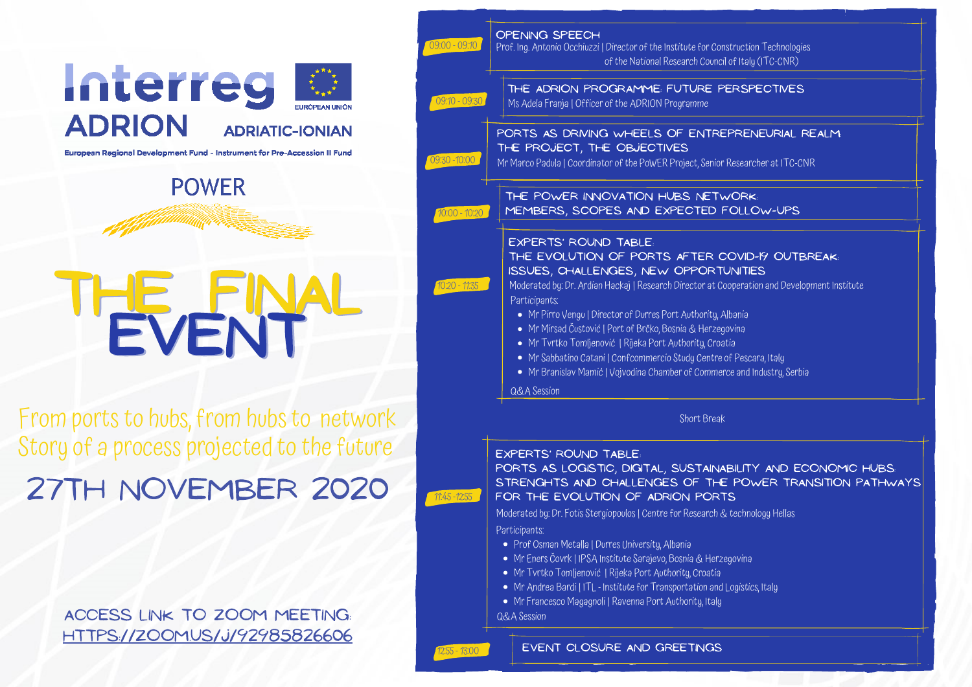



**POWER** 

THE FINAL

EVENT

### EXPERTS' ROUND table: HE EVOLUTION OF PORTS AFTER COVID-19 OUTBREAK: SUES, CHALLENGES, NEW OPPORTUNITIES

derated by: Dr. Ardian Hackaj | Research Director at Cooperation and Development Institute  $rticipants:$ 

Ports as logistic, digital, sustainability and economic hubs: Strenghts and challenges of the Power transition Pathways FOR THE EVOLUTION OF ADRION PORTS

- Mr Pirro Vengu| Director of Durres Port Authority, Albania
- Mr Mirsad Čustović | Port of Brčko, Bosnia & Herzegovina
- Mr Tvrtko Tomljenović | Rijeka Port Authority, Croatia
- Mr Sabbatino Catani | Confcommercio Study Centre of Pescara, Italy
- Mr Branislav Mamić | Vojvodina Chamber of Commerce and Industry, Serbia

**LA** Session

Short Break

From ports to hubs, from hubs to network Story of a process projected to the future

### EXPERTS' ROUND table:

Moderated by: Dr. Fotis Stergiopoulos | Centre for Research & technology Hellas

Prof Osman Metalla | Durres University, Albania

Mr Eners Čovrk | IPSA Institute Sarajevo, Bosnia & Herzegovina

Mr Tvrtko Tomljenović | Rijeka Port Authority, Croatia

Mr Andrea Bardi | ITL - Institute for Transportation and Logistics, Italy

Mr Francesco Magagnoli | Ravenna Port Authority, Italy

## EVENT CLOSURE AND GREETINGS

Participants: Q&A Session 11:45-12:55 12:55- 13:00

#### **INING SPEECH**

ng. Antonio Occhiuzzi | Director of the Institute for Construction Technologies of the National Research Council of Italy (ITC-CNR)

### HE ADRION PROGRAMME: FUTURE PERSPECTIVES

Adela Franja | Officer of the ADRION Programme

### TS AS DRIVING WHEELS OF ENTREPRENEURIAL REALM: PROJECT, THE OBJECTIVES

arco Padula | Coordinator of the PoWER Project, Senior Researcher at ITC-CNR

## IE POWER INNOVATION HUBS NETWORK: EMBERS, SCOPES AND EXPECTED FOLLOW-UPS

| 09:00 - 09:10   | OPF<br>Prof.1                     |
|-----------------|-----------------------------------|
| 09:10 - 09:30   | Ms                                |
| 09:30 - 10:00   | POF<br>THE<br>Mr Ma               |
| $70:00 - 10:20$ | Ł                                 |
| 10:20 - 11:35   | E)<br>IS<br>M<br>$\overline{P}$ a |
|                 | $\mathsf{Q}$ d                    |
|                 |                                   |

27tH November 2020

Access link to ZOOM meeting: <https://zoom.us/j/92985826606>